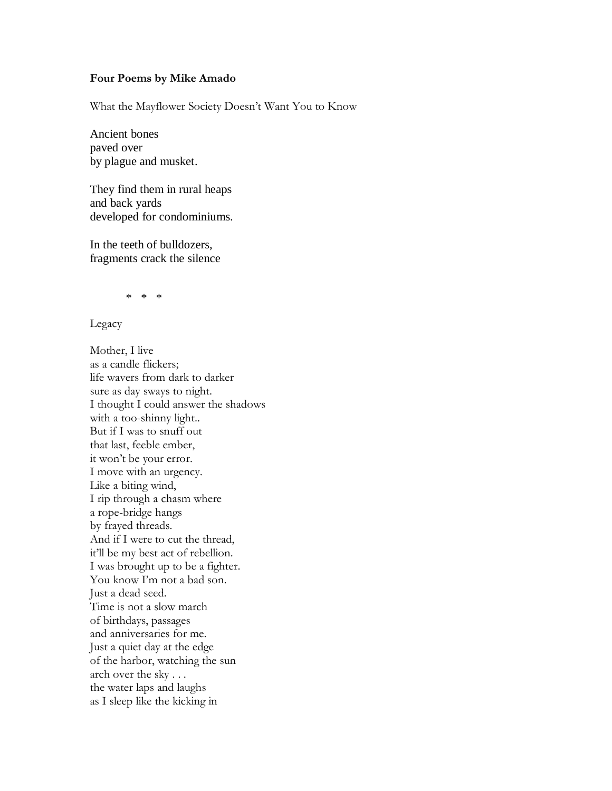## **Four Poems by Mike Amado**

What the Mayflower Society Doesn"t Want You to Know

Ancient bones paved over by plague and musket.

They find them in rural heaps and back yards developed for condominiums.

In the teeth of bulldozers, fragments crack the silence

\* \* \*

Legacy

Mother, I live as a candle flickers; life wavers from dark to darker sure as day sways to night. I thought I could answer the shadows with a too-shinny light.. But if I was to snuff out that last, feeble ember, it won"t be your error. I move with an urgency. Like a biting wind, I rip through a chasm where a rope-bridge hangs by frayed threads. And if I were to cut the thread, it"ll be my best act of rebellion. I was brought up to be a fighter. You know I'm not a bad son. Just a dead seed. Time is not a slow march of birthdays, passages and anniversaries for me. Just a quiet day at the edge of the harbor, watching the sun arch over the sky . . . the water laps and laughs as I sleep like the kicking in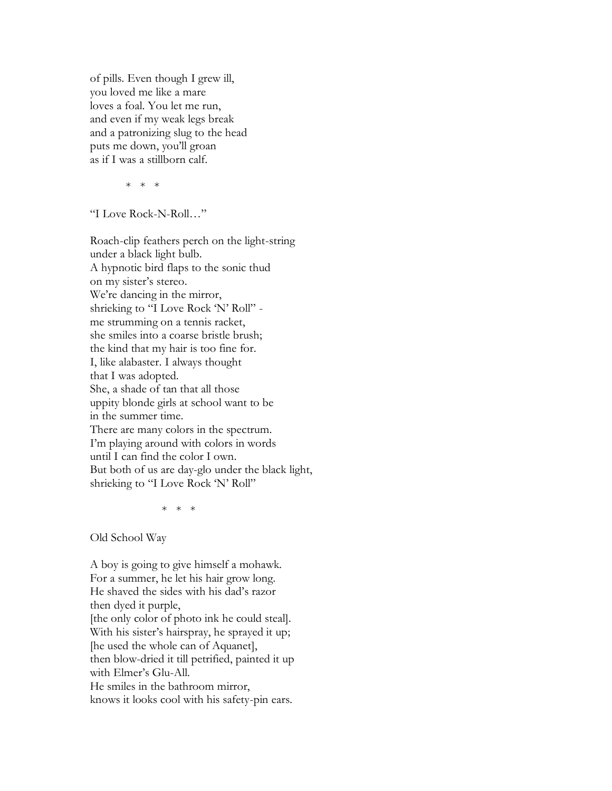of pills. Even though I grew ill, you loved me like a mare loves a foal. You let me run, and even if my weak legs break and a patronizing slug to the head puts me down, you"ll groan as if I was a stillborn calf.

\* \* \*

"I Love Rock-N-Roll…"

Roach-clip feathers perch on the light-string under a black light bulb. A hypnotic bird flaps to the sonic thud on my sister's stereo. We're dancing in the mirror, shrieking to "I Love Rock 'N' Roll" me strumming on a tennis racket, she smiles into a coarse bristle brush; the kind that my hair is too fine for. I, like alabaster. I always thought that I was adopted. She, a shade of tan that all those uppity blonde girls at school want to be in the summer time. There are many colors in the spectrum. I'm playing around with colors in words until I can find the color I own. But both of us are day-glo under the black light, shrieking to "I Love Rock 'N' Roll"

\* \* \*

Old School Way

A boy is going to give himself a mohawk. For a summer, he let his hair grow long. He shaved the sides with his dad"s razor then dyed it purple, [the only color of photo ink he could steal]. With his sister's hairspray, he sprayed it up; [he used the whole can of Aquanet], then blow-dried it till petrified, painted it up with Elmer's Glu-All. He smiles in the bathroom mirror, knows it looks cool with his safety-pin ears.